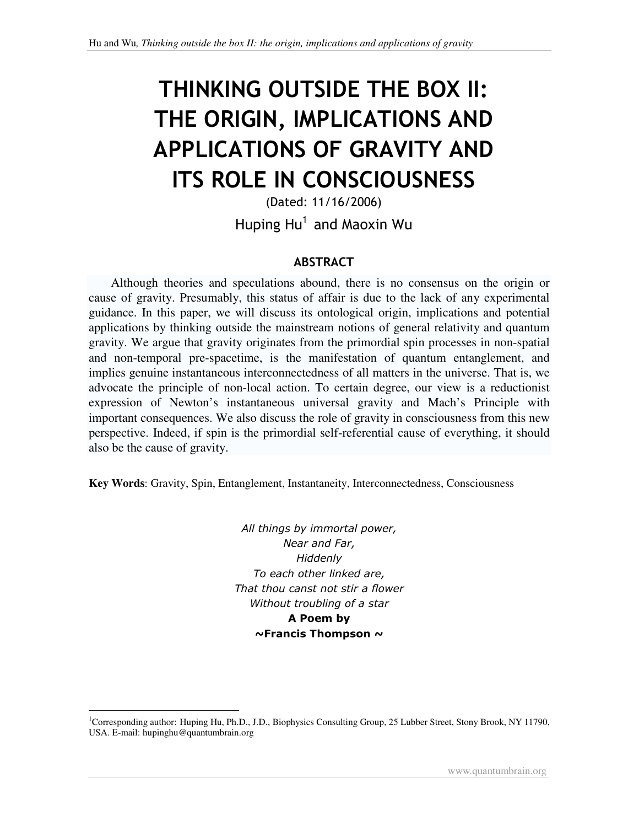# THINKING OUTSIDE THE BOX II: THE ORIGIN, IMPLICATIONS AND APPLICATIONS OF GRAVITY AND ITS ROLE IN CONSCIOUSNESS

(Dated: 11/16/2006) Huping Hu<sup>1</sup> and Maoxin Wu

#### ABSTRACT

 Although theories and speculations abound, there is no consensus on the origin or cause of gravity. Presumably, this status of affair is due to the lack of any experimental guidance. In this paper, we will discuss its ontological origin, implications and potential applications by thinking outside the mainstream notions of general relativity and quantum gravity. We argue that gravity originates from the primordial spin processes in non-spatial and non-temporal pre-spacetime, is the manifestation of quantum entanglement, and implies genuine instantaneous interconnectedness of all matters in the universe. That is, we advocate the principle of non-local action. To certain degree, our view is a reductionist expression of Newton's instantaneous universal gravity and Mach's Principle with important consequences. We also discuss the role of gravity in consciousness from this new perspective. Indeed, if spin is the primordial self-referential cause of everything, it should also be the cause of gravity.

**Key Words**: Gravity, Spin, Entanglement, Instantaneity, Interconnectedness, Consciousness

All things by immortal power, Near and Far, **Hiddenly** To each other linked are, That thou canst not stir a flower Without troubling of a star A Poem by  $\sim$ Francis Thompson  $\sim$ 

 $\ddot{ }$ 

<sup>&</sup>lt;sup>1</sup>Corresponding author: Huping Hu, Ph.D., J.D., Biophysics Consulting Group, 25 Lubber Street, Stony Brook, NY 11790, USA. E-mail: hupinghu@quantumbrain.org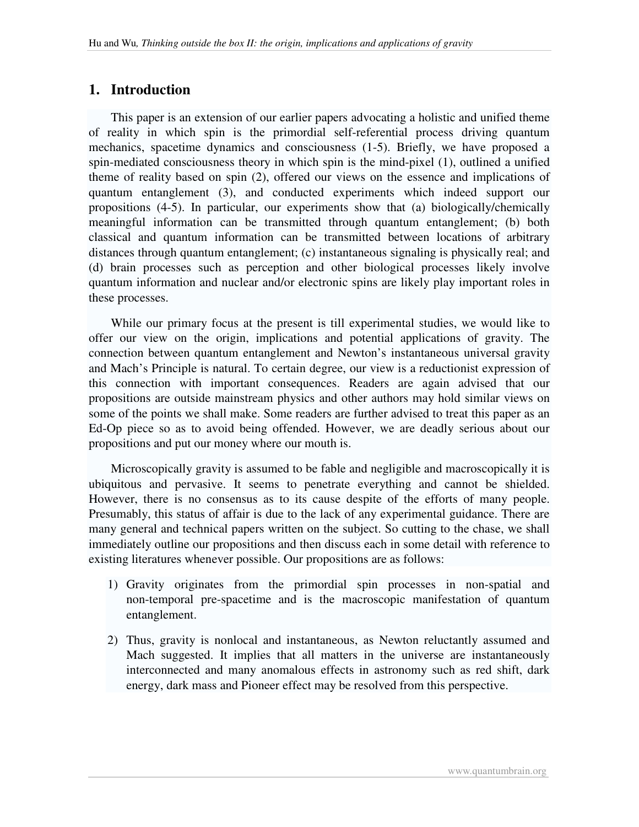# **1. Introduction**

 This paper is an extension of our earlier papers advocating a holistic and unified theme of reality in which spin is the primordial self-referential process driving quantum mechanics, spacetime dynamics and consciousness (1-5). Briefly, we have proposed a spin-mediated consciousness theory in which spin is the mind-pixel (1), outlined a unified theme of reality based on spin (2), offered our views on the essence and implications of quantum entanglement (3), and conducted experiments which indeed support our propositions (4-5). In particular, our experiments show that (a) biologically/chemically meaningful information can be transmitted through quantum entanglement; (b) both classical and quantum information can be transmitted between locations of arbitrary distances through quantum entanglement; (c) instantaneous signaling is physically real; and (d) brain processes such as perception and other biological processes likely involve quantum information and nuclear and/or electronic spins are likely play important roles in these processes.

 While our primary focus at the present is till experimental studies, we would like to offer our view on the origin, implications and potential applications of gravity. The connection between quantum entanglement and Newton's instantaneous universal gravity and Mach's Principle is natural. To certain degree, our view is a reductionist expression of this connection with important consequences. Readers are again advised that our propositions are outside mainstream physics and other authors may hold similar views on some of the points we shall make. Some readers are further advised to treat this paper as an Ed-Op piece so as to avoid being offended. However, we are deadly serious about our propositions and put our money where our mouth is.

 Microscopically gravity is assumed to be fable and negligible and macroscopically it is ubiquitous and pervasive. It seems to penetrate everything and cannot be shielded. However, there is no consensus as to its cause despite of the efforts of many people. Presumably, this status of affair is due to the lack of any experimental guidance. There are many general and technical papers written on the subject. So cutting to the chase, we shall immediately outline our propositions and then discuss each in some detail with reference to existing literatures whenever possible. Our propositions are as follows:

- 1) Gravity originates from the primordial spin processes in non-spatial and non-temporal pre-spacetime and is the macroscopic manifestation of quantum entanglement.
- 2) Thus, gravity is nonlocal and instantaneous, as Newton reluctantly assumed and Mach suggested. It implies that all matters in the universe are instantaneously interconnected and many anomalous effects in astronomy such as red shift, dark energy, dark mass and Pioneer effect may be resolved from this perspective.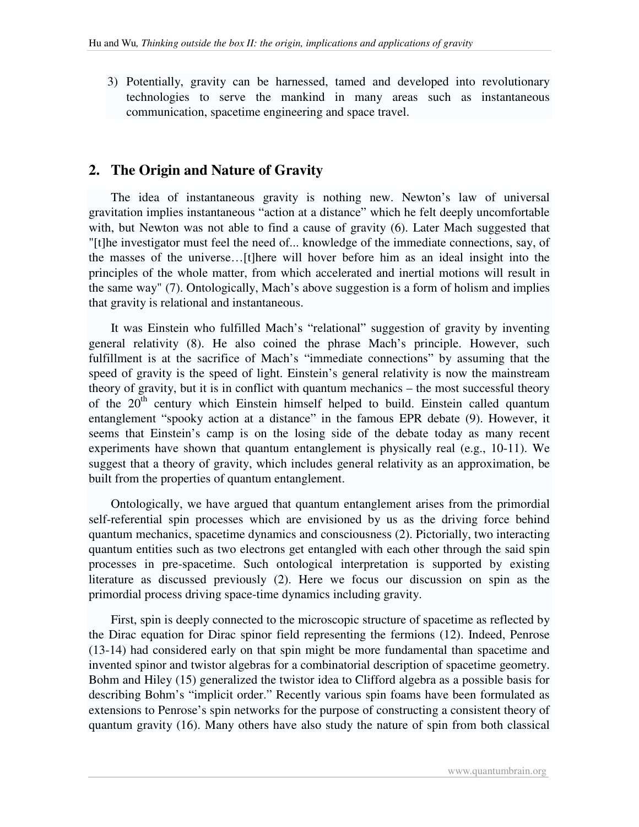3) Potentially, gravity can be harnessed, tamed and developed into revolutionary technologies to serve the mankind in many areas such as instantaneous communication, spacetime engineering and space travel.

## **2. The Origin and Nature of Gravity**

 The idea of instantaneous gravity is nothing new. Newton's law of universal gravitation implies instantaneous "action at a distance" which he felt deeply uncomfortable with, but Newton was not able to find a cause of gravity (6). Later Mach suggested that "[t]he investigator must feel the need of... knowledge of the immediate connections, say, of the masses of the universe…[t]here will hover before him as an ideal insight into the principles of the whole matter, from which accelerated and inertial motions will result in the same way" (7). Ontologically, Mach's above suggestion is a form of holism and implies that gravity is relational and instantaneous.

 It was Einstein who fulfilled Mach's "relational" suggestion of gravity by inventing general relativity (8). He also coined the phrase Mach's principle. However, such fulfillment is at the sacrifice of Mach's "immediate connections" by assuming that the speed of gravity is the speed of light. Einstein's general relativity is now the mainstream theory of gravity, but it is in conflict with quantum mechanics – the most successful theory of the  $20<sup>th</sup>$  century which Einstein himself helped to build. Einstein called quantum entanglement "spooky action at a distance" in the famous EPR debate (9). However, it seems that Einstein's camp is on the losing side of the debate today as many recent experiments have shown that quantum entanglement is physically real (e.g., 10-11). We suggest that a theory of gravity, which includes general relativity as an approximation, be built from the properties of quantum entanglement.

 Ontologically, we have argued that quantum entanglement arises from the primordial self-referential spin processes which are envisioned by us as the driving force behind quantum mechanics, spacetime dynamics and consciousness (2). Pictorially, two interacting quantum entities such as two electrons get entangled with each other through the said spin processes in pre-spacetime. Such ontological interpretation is supported by existing literature as discussed previously (2). Here we focus our discussion on spin as the primordial process driving space-time dynamics including gravity.

 First, spin is deeply connected to the microscopic structure of spacetime as reflected by the Dirac equation for Dirac spinor field representing the fermions (12). Indeed, Penrose (13-14) had considered early on that spin might be more fundamental than spacetime and invented spinor and twistor algebras for a combinatorial description of spacetime geometry. Bohm and Hiley (15) generalized the twistor idea to Clifford algebra as a possible basis for describing Bohm's "implicit order." Recently various spin foams have been formulated as extensions to Penrose's spin networks for the purpose of constructing a consistent theory of quantum gravity (16). Many others have also study the nature of spin from both classical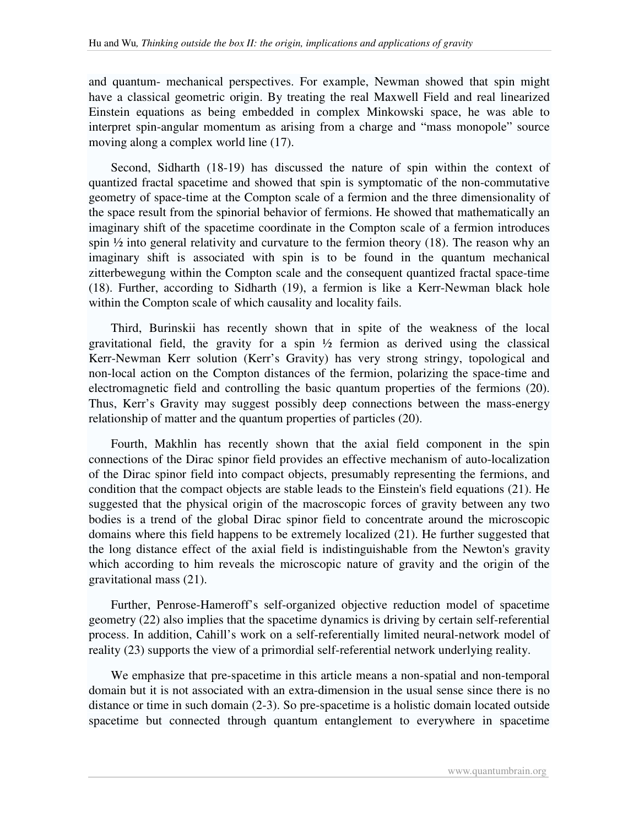and quantum- mechanical perspectives. For example, Newman showed that spin might have a classical geometric origin. By treating the real Maxwell Field and real linearized Einstein equations as being embedded in complex Minkowski space, he was able to interpret spin-angular momentum as arising from a charge and "mass monopole" source moving along a complex world line (17).

 Second, Sidharth (18-19) has discussed the nature of spin within the context of quantized fractal spacetime and showed that spin is symptomatic of the non-commutative geometry of space-time at the Compton scale of a fermion and the three dimensionality of the space result from the spinorial behavior of fermions. He showed that mathematically an imaginary shift of the spacetime coordinate in the Compton scale of a fermion introduces spin  $\frac{1}{2}$  into general relativity and curvature to the fermion theory (18). The reason why an imaginary shift is associated with spin is to be found in the quantum mechanical zitterbewegung within the Compton scale and the consequent quantized fractal space-time (18). Further, according to Sidharth (19), a fermion is like a Kerr-Newman black hole within the Compton scale of which causality and locality fails.

 Third, Burinskii has recently shown that in spite of the weakness of the local gravitational field, the gravity for a spin  $\frac{1}{2}$  fermion as derived using the classical Kerr-Newman Kerr solution (Kerr's Gravity) has very strong stringy, topological and non-local action on the Compton distances of the fermion, polarizing the space-time and electromagnetic field and controlling the basic quantum properties of the fermions (20). Thus, Kerr's Gravity may suggest possibly deep connections between the mass-energy relationship of matter and the quantum properties of particles (20).

 Fourth, Makhlin has recently shown that the axial field component in the spin connections of the Dirac spinor field provides an effective mechanism of auto-localization of the Dirac spinor field into compact objects, presumably representing the fermions, and condition that the compact objects are stable leads to the Einstein's field equations (21). He suggested that the physical origin of the macroscopic forces of gravity between any two bodies is a trend of the global Dirac spinor field to concentrate around the microscopic domains where this field happens to be extremely localized (21). He further suggested that the long distance effect of the axial field is indistinguishable from the Newton's gravity which according to him reveals the microscopic nature of gravity and the origin of the gravitational mass (21).

 Further, Penrose-Hameroff's self-organized objective reduction model of spacetime geometry (22) also implies that the spacetime dynamics is driving by certain self-referential process. In addition, Cahill's work on a self-referentially limited neural-network model of reality (23) supports the view of a primordial self-referential network underlying reality.

 We emphasize that pre-spacetime in this article means a non-spatial and non-temporal domain but it is not associated with an extra-dimension in the usual sense since there is no distance or time in such domain (2-3). So pre-spacetime is a holistic domain located outside spacetime but connected through quantum entanglement to everywhere in spacetime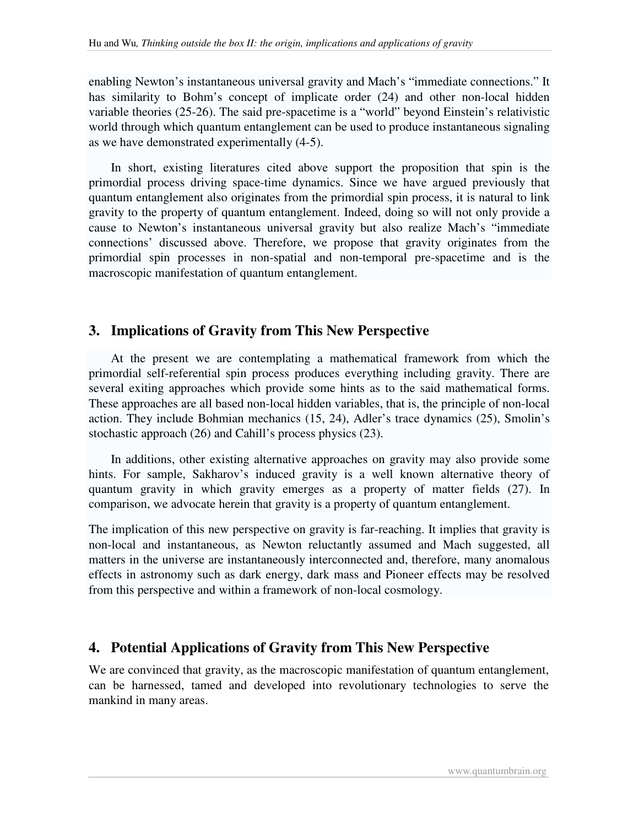enabling Newton's instantaneous universal gravity and Mach's "immediate connections." It has similarity to Bohm's concept of implicate order (24) and other non-local hidden variable theories (25-26). The said pre-spacetime is a "world" beyond Einstein's relativistic world through which quantum entanglement can be used to produce instantaneous signaling as we have demonstrated experimentally (4-5).

 In short, existing literatures cited above support the proposition that spin is the primordial process driving space-time dynamics. Since we have argued previously that quantum entanglement also originates from the primordial spin process, it is natural to link gravity to the property of quantum entanglement. Indeed, doing so will not only provide a cause to Newton's instantaneous universal gravity but also realize Mach's "immediate connections' discussed above. Therefore, we propose that gravity originates from the primordial spin processes in non-spatial and non-temporal pre-spacetime and is the macroscopic manifestation of quantum entanglement.

# **3. Implications of Gravity from This New Perspective**

 At the present we are contemplating a mathematical framework from which the primordial self-referential spin process produces everything including gravity. There are several exiting approaches which provide some hints as to the said mathematical forms. These approaches are all based non-local hidden variables, that is, the principle of non-local action. They include Bohmian mechanics (15, 24), Adler's trace dynamics (25), Smolin's stochastic approach (26) and Cahill's process physics (23).

 In additions, other existing alternative approaches on gravity may also provide some hints. For sample, Sakharov's induced gravity is a well known alternative theory of quantum gravity in which gravity emerges as a property of matter fields (27). In comparison, we advocate herein that gravity is a property of quantum entanglement.

The implication of this new perspective on gravity is far-reaching. It implies that gravity is non-local and instantaneous, as Newton reluctantly assumed and Mach suggested, all matters in the universe are instantaneously interconnected and, therefore, many anomalous effects in astronomy such as dark energy, dark mass and Pioneer effects may be resolved from this perspective and within a framework of non-local cosmology.

# **4. Potential Applications of Gravity from This New Perspective**

We are convinced that gravity, as the macroscopic manifestation of quantum entanglement, can be harnessed, tamed and developed into revolutionary technologies to serve the mankind in many areas.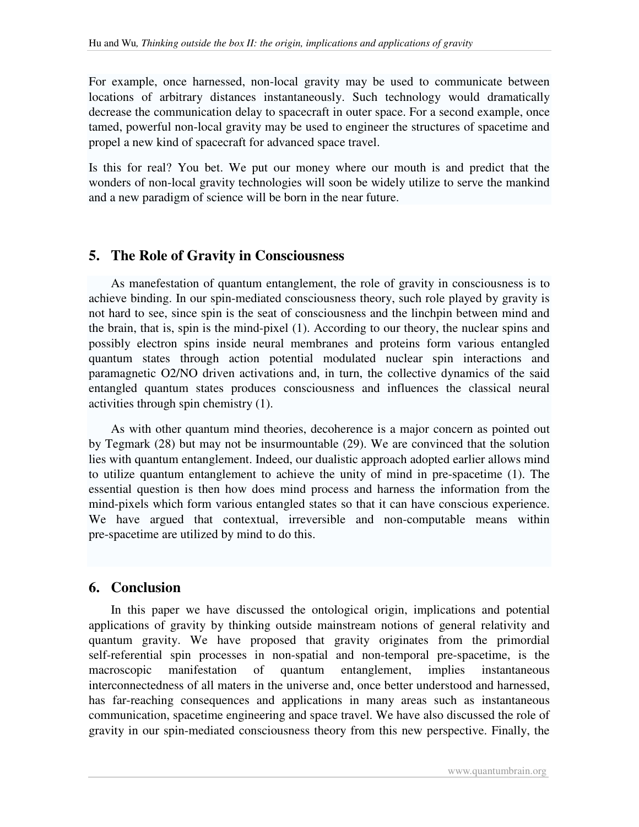For example, once harnessed, non-local gravity may be used to communicate between locations of arbitrary distances instantaneously. Such technology would dramatically decrease the communication delay to spacecraft in outer space. For a second example, once tamed, powerful non-local gravity may be used to engineer the structures of spacetime and propel a new kind of spacecraft for advanced space travel.

Is this for real? You bet. We put our money where our mouth is and predict that the wonders of non-local gravity technologies will soon be widely utilize to serve the mankind and a new paradigm of science will be born in the near future.

#### **5. The Role of Gravity in Consciousness**

 As manefestation of quantum entanglement, the role of gravity in consciousness is to achieve binding. In our spin-mediated consciousness theory, such role played by gravity is not hard to see, since spin is the seat of consciousness and the linchpin between mind and the brain, that is, spin is the mind-pixel (1). According to our theory, the nuclear spins and possibly electron spins inside neural membranes and proteins form various entangled quantum states through action potential modulated nuclear spin interactions and paramagnetic O2/NO driven activations and, in turn, the collective dynamics of the said entangled quantum states produces consciousness and influences the classical neural activities through spin chemistry (1).

 As with other quantum mind theories, decoherence is a major concern as pointed out by Tegmark (28) but may not be insurmountable (29). We are convinced that the solution lies with quantum entanglement. Indeed, our dualistic approach adopted earlier allows mind to utilize quantum entanglement to achieve the unity of mind in pre-spacetime (1). The essential question is then how does mind process and harness the information from the mind-pixels which form various entangled states so that it can have conscious experience. We have argued that contextual, irreversible and non-computable means within pre-spacetime are utilized by mind to do this.

#### **6. Conclusion**

 In this paper we have discussed the ontological origin, implications and potential applications of gravity by thinking outside mainstream notions of general relativity and quantum gravity. We have proposed that gravity originates from the primordial self-referential spin processes in non-spatial and non-temporal pre-spacetime, is the macroscopic manifestation of quantum entanglement, implies instantaneous interconnectedness of all maters in the universe and, once better understood and harnessed, has far-reaching consequences and applications in many areas such as instantaneous communication, spacetime engineering and space travel. We have also discussed the role of gravity in our spin-mediated consciousness theory from this new perspective. Finally, the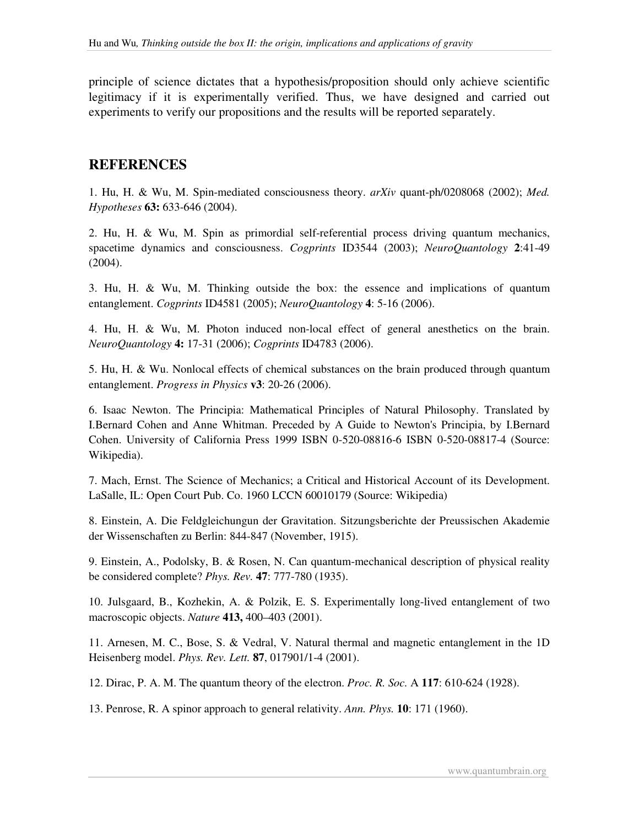principle of science dictates that a hypothesis/proposition should only achieve scientific legitimacy if it is experimentally verified. Thus, we have designed and carried out experiments to verify our propositions and the results will be reported separately.

## **REFERENCES**

1. Hu, H. & Wu, M. Spin-mediated consciousness theory. *arXiv* quant-ph/0208068 (2002); *Med. Hypotheses* **63:** 633-646 (2004).

2. Hu, H. & Wu, M. Spin as primordial self-referential process driving quantum mechanics, spacetime dynamics and consciousness. *Cogprints* ID3544 (2003); *NeuroQuantology* **2**:41-49 (2004).

3. Hu, H. & Wu, M. Thinking outside the box: the essence and implications of quantum entanglement. *Cogprints* ID4581 (2005); *NeuroQuantology* **4**: 5-16 (2006).

4. Hu, H. & Wu, M. Photon induced non-local effect of general anesthetics on the brain. *NeuroQuantology* **4:** 17-31 (2006); *Cogprints* ID4783 (2006).

5. Hu, H. & Wu. Nonlocal effects of chemical substances on the brain produced through quantum entanglement. *Progress in Physics* **v3**: 20-26 (2006).

6. Isaac Newton. The Principia: Mathematical Principles of Natural Philosophy. Translated by I.Bernard Cohen and Anne Whitman. Preceded by A Guide to Newton's Principia, by I.Bernard Cohen. University of California Press 1999 ISBN 0-520-08816-6 ISBN 0-520-08817-4 (Source: Wikipedia).

7. Mach, Ernst. The Science of Mechanics; a Critical and Historical Account of its Development. LaSalle, IL: Open Court Pub. Co. 1960 LCCN 60010179 (Source: Wikipedia)

8. Einstein, A. Die Feldgleichungun der Gravitation. Sitzungsberichte der Preussischen Akademie der Wissenschaften zu Berlin: 844-847 (November, 1915).

9. Einstein, A., Podolsky, B. & Rosen, N. Can quantum-mechanical description of physical reality be considered complete? *Phys. Rev.* **47**: 777-780 (1935).

10. Julsgaard, B., Kozhekin, A. & Polzik, E. S. Experimentally long-lived entanglement of two macroscopic objects. *Nature* **413,** 400–403 (2001).

11. Arnesen, M. C., Bose, S. & Vedral, V. Natural thermal and magnetic entanglement in the 1D Heisenberg model. *Phys. Rev. Lett.* **87**, 017901/1-4 (2001).

12. Dirac, P. A. M. The quantum theory of the electron. *Proc. R. Soc.* A **117**: 610-624 (1928).

13. Penrose, R. A spinor approach to general relativity. *Ann. Phys.* **10**: 171 (1960).